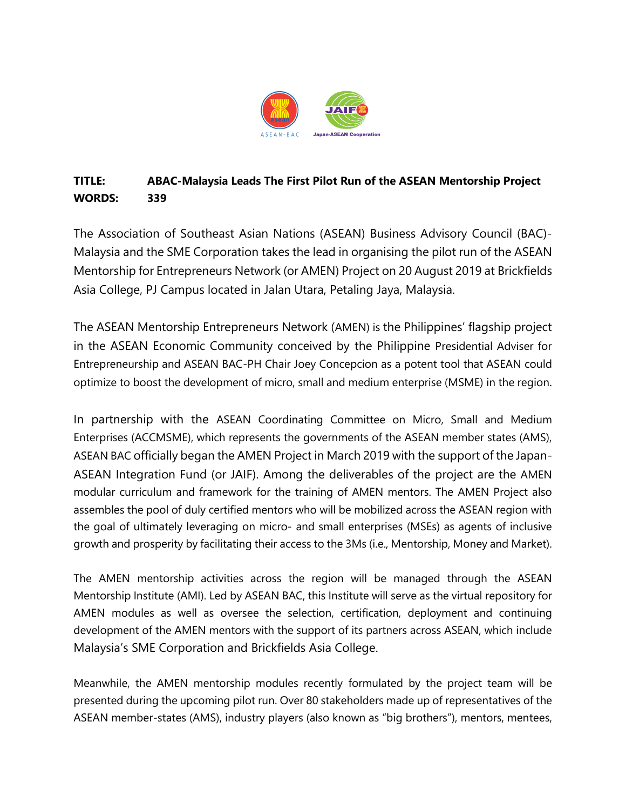

## **TITLE: ABAC-Malaysia Leads The First Pilot Run of the ASEAN Mentorship Project WORDS: 339**

The Association of Southeast Asian Nations (ASEAN) Business Advisory Council (BAC)- Malaysia and the SME Corporation takes the lead in organising the pilot run of the ASEAN Mentorship for Entrepreneurs Network (or AMEN) Project on 20 August 2019 at Brickfields Asia College, PJ Campus located in Jalan Utara, Petaling Jaya, Malaysia.

The ASEAN Mentorship Entrepreneurs Network (AMEN) is the Philippines' flagship project in the ASEAN Economic Community conceived by the Philippine Presidential Adviser for Entrepreneurship and ASEAN BAC-PH Chair Joey Concepcion as a potent tool that ASEAN could optimize to boost the development of micro, small and medium enterprise (MSME) in the region.

In partnership with the ASEAN Coordinating Committee on Micro, Small and Medium Enterprises (ACCMSME), which represents the governments of the ASEAN member states (AMS), ASEAN BAC officially began the AMEN Project in March 2019 with the support of the Japan-ASEAN Integration Fund (or JAIF). Among the deliverables of the project are the AMEN modular curriculum and framework for the training of AMEN mentors. The AMEN Project also assembles the pool of duly certified mentors who will be mobilized across the ASEAN region with the goal of ultimately leveraging on micro- and small enterprises (MSEs) as agents of inclusive growth and prosperity by facilitating their access to the 3Ms (i.e., Mentorship, Money and Market).

The AMEN mentorship activities across the region will be managed through the ASEAN Mentorship Institute (AMI). Led by ASEAN BAC, this Institute will serve as the virtual repository for AMEN modules as well as oversee the selection, certification, deployment and continuing development of the AMEN mentors with the support of its partners across ASEAN, which include Malaysia's SME Corporation and Brickfields Asia College.

Meanwhile, the AMEN mentorship modules recently formulated by the project team will be presented during the upcoming pilot run. Over 80 stakeholders made up of representatives of the ASEAN member-states (AMS), industry players (also known as "big brothers"), mentors, mentees,